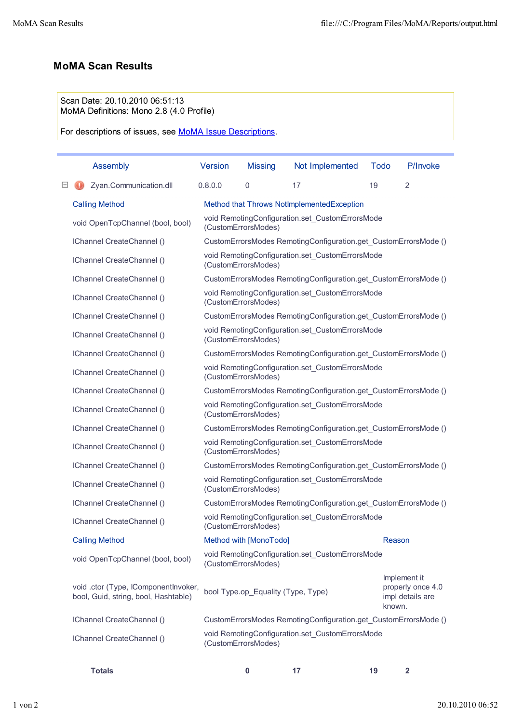## **MoMA Scan Results**

## Scan Date: 20.10.2010 06:51:13 MoMA Definitions: Mono 2.8 (4.0 Profile)

For descriptions of issues, see MoMA Issue Descriptions.

|                                                                                                                                                                                                     | <b>Assembly</b>                                                              | <b>Version</b>                                                         | <b>Missing</b>                     | Not Implemented | <b>Todo</b> | P/Invoke                                              |  |  |
|-----------------------------------------------------------------------------------------------------------------------------------------------------------------------------------------------------|------------------------------------------------------------------------------|------------------------------------------------------------------------|------------------------------------|-----------------|-------------|-------------------------------------------------------|--|--|
|                                                                                                                                                                                                     | Zyan.Communication.dll                                                       | 0.8.0.0                                                                | $\overline{0}$                     | 17              | 19          | $\overline{2}$                                        |  |  |
| <b>Calling Method</b><br>Method that Throws NotImplementedException                                                                                                                                 |                                                                              |                                                                        |                                    |                 |             |                                                       |  |  |
|                                                                                                                                                                                                     | void OpenTcpChannel (bool, bool)                                             | void RemotingConfiguration.set_CustomErrorsMode<br>(CustomErrorsModes) |                                    |                 |             |                                                       |  |  |
|                                                                                                                                                                                                     | IChannel CreateChannel ()                                                    | CustomErrorsModes RemotingConfiguration.get CustomErrorsMode ()        |                                    |                 |             |                                                       |  |  |
|                                                                                                                                                                                                     | IChannel CreateChannel ()                                                    | void RemotingConfiguration.set_CustomErrorsMode<br>(CustomErrorsModes) |                                    |                 |             |                                                       |  |  |
|                                                                                                                                                                                                     | IChannel CreateChannel ()                                                    | CustomErrorsModes RemotingConfiguration.get_CustomErrorsMode ()        |                                    |                 |             |                                                       |  |  |
|                                                                                                                                                                                                     | IChannel CreateChannel ()                                                    | void RemotingConfiguration.set_CustomErrorsMode<br>(CustomErrorsModes) |                                    |                 |             |                                                       |  |  |
|                                                                                                                                                                                                     | IChannel CreateChannel ()                                                    | CustomErrorsModes RemotingConfiguration.get_CustomErrorsMode ()        |                                    |                 |             |                                                       |  |  |
|                                                                                                                                                                                                     | IChannel CreateChannel ()                                                    | void RemotingConfiguration.set_CustomErrorsMode<br>(CustomErrorsModes) |                                    |                 |             |                                                       |  |  |
|                                                                                                                                                                                                     | IChannel CreateChannel ()                                                    | CustomErrorsModes RemotingConfiguration.get_CustomErrorsMode ()        |                                    |                 |             |                                                       |  |  |
|                                                                                                                                                                                                     | IChannel CreateChannel ()                                                    | void RemotingConfiguration.set_CustomErrorsMode<br>(CustomErrorsModes) |                                    |                 |             |                                                       |  |  |
|                                                                                                                                                                                                     | IChannel CreateChannel ()                                                    | CustomErrorsModes RemotingConfiguration.get_CustomErrorsMode ()        |                                    |                 |             |                                                       |  |  |
|                                                                                                                                                                                                     | IChannel CreateChannel ()                                                    | void RemotingConfiguration.set_CustomErrorsMode<br>(CustomErrorsModes) |                                    |                 |             |                                                       |  |  |
|                                                                                                                                                                                                     | IChannel CreateChannel ()                                                    | CustomErrorsModes RemotingConfiguration.get_CustomErrorsMode ()        |                                    |                 |             |                                                       |  |  |
|                                                                                                                                                                                                     | IChannel CreateChannel ()                                                    | void RemotingConfiguration.set_CustomErrorsMode<br>(CustomErrorsModes) |                                    |                 |             |                                                       |  |  |
|                                                                                                                                                                                                     | IChannel CreateChannel ()                                                    | CustomErrorsModes RemotingConfiguration.get_CustomErrorsMode ()        |                                    |                 |             |                                                       |  |  |
|                                                                                                                                                                                                     | IChannel CreateChannel ()                                                    | void RemotingConfiguration.set_CustomErrorsMode<br>(CustomErrorsModes) |                                    |                 |             |                                                       |  |  |
|                                                                                                                                                                                                     | IChannel CreateChannel ()                                                    | CustomErrorsModes RemotingConfiguration.get CustomErrorsMode ()        |                                    |                 |             |                                                       |  |  |
|                                                                                                                                                                                                     | IChannel CreateChannel ()                                                    | void RemotingConfiguration.set_CustomErrorsMode<br>(CustomErrorsModes) |                                    |                 |             |                                                       |  |  |
|                                                                                                                                                                                                     | <b>Calling Method</b>                                                        |                                                                        | Method with [MonoTodo]             |                 | Reason      |                                                       |  |  |
|                                                                                                                                                                                                     | void OpenTcpChannel (bool, bool)                                             | void RemotingConfiguration.set CustomErrorsMode<br>(CustomErrorsModes) |                                    |                 |             |                                                       |  |  |
|                                                                                                                                                                                                     | void .ctor (Type, IComponentInvoker,<br>bool, Guid, string, bool, Hashtable) |                                                                        | bool Type.op_Equality (Type, Type) |                 | known.      | Implement it<br>properly once 4.0<br>impl details are |  |  |
| IChannel CreateChannel ()<br>CustomErrorsModes RemotingConfiguration.get_CustomErrorsMode ()<br>void RemotingConfiguration.set_CustomErrorsMode<br>IChannel CreateChannel ()<br>(CustomErrorsModes) |                                                                              |                                                                        |                                    |                 |             |                                                       |  |  |
|                                                                                                                                                                                                     |                                                                              |                                                                        |                                    |                 |             |                                                       |  |  |
|                                                                                                                                                                                                     |                                                                              |                                                                        |                                    |                 |             |                                                       |  |  |

| <b>Totals</b> | $\overline{2}$ |
|---------------|----------------|
|---------------|----------------|